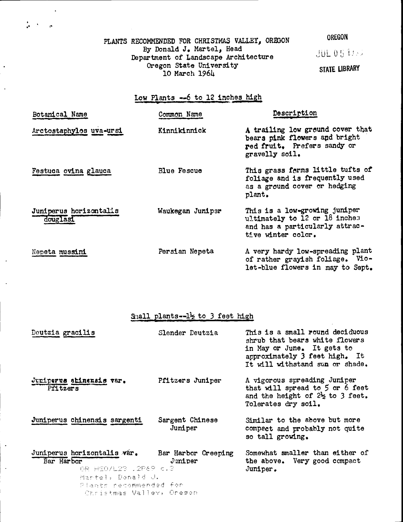PLANTS RECOMMENDED FOR CHRISTMAS VALLEY, OREGON OREGON By Donald J. Martel, Head By Donald J. Martel, Head<br>Department of Landscape Architecture JUL 054000 Oregon State University 10 March l96I

 $\frac{1}{2}$  ,  $\frac{1}{2}$  ,  $\frac{1}{2}$ 

STATE LIBRARY

## Low Plants  $-6$  to 12 inches high

| Botanical Name                     | Common Name        | Description                                                                                                            |
|------------------------------------|--------------------|------------------------------------------------------------------------------------------------------------------------|
| Arctostaphylos uva-ursi            | Kinnikinnick       | A trailing low ground cover that<br>bears pink flowers and bright<br>red fruit. Prefers sandy or<br>gravelly soil.     |
| Festuca ovina glauca               | <b>Blue Fescue</b> | This grass ferms little tufts of<br>foliage and is frequently used<br>as a ground cover or hedging<br>plant.           |
| Juniperus horizontalis<br>douglasi | Waukegan Juniper   | This is a low-growing juniper<br>ultimately to 12 or 18 inches<br>and has a particularly attrac-<br>tive winter color. |
| Nepeta mussini                     | Persian Nepeta     | A very hardy low-spreading plant<br>of rather grayish foliage. Vio-<br>let-blue flowers in may to Sept.                |

## $S<sub>1</sub>$ all plants- $-1\frac{1}{2}$  to 3 feet high

| Deutzia gracilis                                                                                                                                                 | Slender Deutzia            | This is a small round deciduous<br>shrub that bears white flowers<br>in May or June. It gets to<br>approximately 3 feet high. It<br>It will withstand sun or shade. |
|------------------------------------------------------------------------------------------------------------------------------------------------------------------|----------------------------|---------------------------------------------------------------------------------------------------------------------------------------------------------------------|
| Juniperus shinensis var.<br>Pfitzers                                                                                                                             | Pfitzers Juniper           | A vigorous spreading Juniper<br>that will spread to 5 or 6 feet<br>and the height of $2\frac{1}{2}$ to 3 feet.<br>Tolerates dry soil.                               |
| Juniperus chinensis sargenti                                                                                                                                     | Sargent Chinese<br>Juniper | Similar to the above but more<br>compact and probably not quite<br>so tall growing.                                                                                 |
| Juniperus horizontalis var. Bar Harbor Creeping<br>Bar Harbor<br>OR FEO/L23 .2P69 c.3<br>Martel, Donald J.<br>Plants recommended for<br>Christmas Valley, Oreson | Juniper                    | Somewhat smaller than either of<br>the above. Very good compact<br>Juniper.                                                                                         |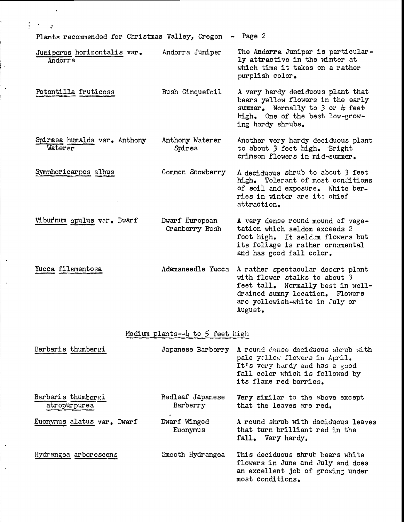Plants recommended for Christmas Valley, Oregon - Page 2

 $\mathbf{1} \rightarrow \mathbf{1}$ 

 $\cdot$ 

- Juniperus horizontalis var. Andorra Juniper The Andorra Juniper is particular-<br>Andorra 19 attractive in the winter at ly attractive in the winter at which time it takes on a rather purplish color.
- Potentilla fruticoss Bush Cinquefoil A very hardy deciduous plant that bears yellow flowers in the early summer. Normally to 3 or  $#$  feet high. One of the best low-growing hardy shrubs.
- Spirsea humalda var. Anthony Anthony Waterer Another very hardy deciduous plant<br>Waterer Spirea to about 3 feet high. Bright<br>crimson flowers in mid-summer.
- Symphoricarpos albus Common Snowberry A deciduous shrub to about 3 feet high. Tolerant of most conditions of soil and exposure. white berries in winter are its chief attraction.
- Viburtnum opulus var. Ewarf Dwarf European A very dense round mound of vege-<br>Cranberry Bush tation which seldom exceeds 2 feet high. It seldom flowers but its foliage is rather ornamental and has good fall color.
- Yucca filamentosa Adamsneedle Yucca A rather spectacular desert plant<br>with flower stalks to about 3<br>feet tall. Normally best in well-<br>drained sumny location. Flowers are yellowish-white in July or August.

## Medium plants-- $\mu$  to 5 feet high

| Berberis thumbergi                 | Japanese Barberry            | A round dense deciduous shrub with<br>pale yellow flowers in April.<br>It's very hardy and has a good<br>fall color which is followed by<br>its flame red berries. |
|------------------------------------|------------------------------|--------------------------------------------------------------------------------------------------------------------------------------------------------------------|
| Berberis thumbergi<br>atropurpurea | Redleaf Japanese<br>Barberry | Very similar to the above except<br>that the leaves are red.                                                                                                       |
| Euonymus alatus var. Dwarf         | Dwarf Winged<br>Euonymus     | A round shrub with deciduous leaves<br>that turn brilliant red in the<br>fall. Very hardy.                                                                         |
| Hydrangea arborescens              | Smooth Hydrangea             | This deciduous shrub bears white<br>flowers in June and July and does<br>an excellent job of growing under<br>most conditions.                                     |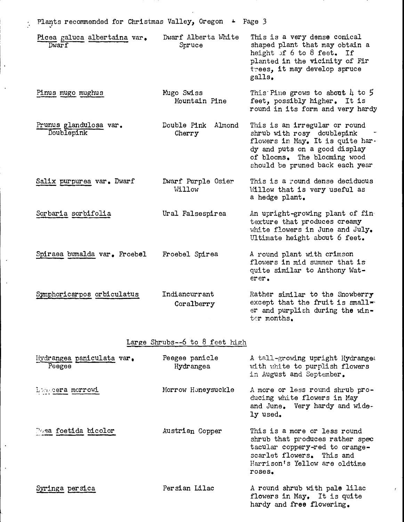| Plants recommended for Christmas Valley, Oregon + Page 3 |                                       |                               |                                                                                                                                                                                                     |
|----------------------------------------------------------|---------------------------------------|-------------------------------|-----------------------------------------------------------------------------------------------------------------------------------------------------------------------------------------------------|
|                                                          | Picea galuca albertaina var.<br>Dwarf | Dwarf Alberta White<br>Spruce | This is a very dense conical<br>shaped plant that may obtain a<br>height of 6 to 8 feet. If<br>planted in the vicinity of Fir<br>trees, it may develop spruce<br>galls.                             |
|                                                          | Pinus mugo mughus                     | Mugo Swiss<br>Mountain Pine   | This Pine grows to about $\mu$ to 5<br>feet, possibly higher. It is<br>round in its form and very hardy                                                                                             |
|                                                          | Prunus glandulosa var.<br>Doublepink  | Double Pink Almond<br>Cherry  | This is an irregular or round<br>shrub with rosy doublepink<br>flowers in May. It is quite har-<br>dy and puts on a good display<br>of blooms. The blooming wood<br>should be pruned back each year |
|                                                          | Salix purpurea var. Dwarf             | Dwarf Purple Osier<br>Willow  | This is a round dense deciduous<br>Willow that is very useful as<br>a hedge plant.                                                                                                                  |
|                                                          | Sorbaria sorbifolia                   | Ural Falsespirea              | An upright-growing plant of fin-<br>texture that produces creamy<br>white flowers in June and July.<br>Ultimate height about 6 feet.                                                                |
|                                                          | Spiraea bumalda var. Froebel          | Froebel Spirea                | A round plant with crimson<br>flowers in mid summer that is<br>quite similar to Anthony Wat-<br>$err_{\bullet}$                                                                                     |
|                                                          | Symphoricarpos orbiculatus            | Indiancurrant<br>Coralberry   | Rather similar to the Snowberry<br>except that the fruit is small=<br>er and purplish during the win-<br>ter months.                                                                                |
|                                                          |                                       |                               |                                                                                                                                                                                                     |

 $\sim$ 

## Large Shrubs--6 to 8 feet high

| Hydrangea paniculata var.<br>Peegee | Peegee panicle<br>Hydrangea | A tall-growing upright Hydrange:<br>with white to purplish flowers<br>in August and September.                                                                            |
|-------------------------------------|-----------------------------|---------------------------------------------------------------------------------------------------------------------------------------------------------------------------|
| Lonscera morrowi                    | Morrow Honeysuckle          | A more or less round shrub pro-<br>ducing white flowers in May<br>and June. Very hardy and wide-<br>ly used.                                                              |
| Posa foetida bicolor                | Austrian Copper             | This is a more or less round<br>shrub that produces rather spec<br>tacular coppery-red to orange-<br>scarlet flowers. This and<br>Harrison's Yellow are oldtime<br>roses. |
| Syringa persica                     | Persian Lilac               | A round shrub with pale lilac<br>flowers in May. It is quite<br>hardy and free flowering.                                                                                 |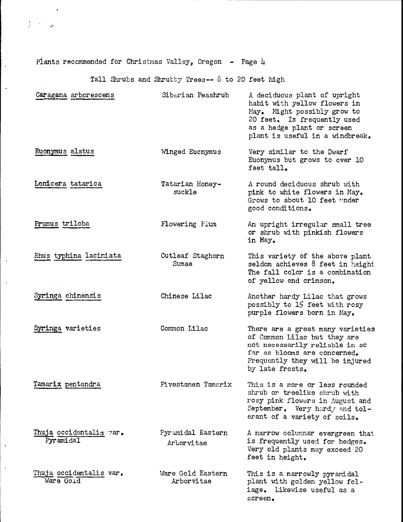Plants recommended for Christmas Valley, Oregon - Page  $\mu$ 

 $\sim 10^{-11}$ 

Tall Shrubs and Shrubby Trees-- 8 to 20 feet high

| Caragana arborescens                 | Siberian Peashrub               | A deciduous plant of upright<br>habit with yellow flowers in<br>May. Might possibly grow to<br>20 feet. Is frequently used<br>as a hedge plant or screen<br>plant is useful in a windbreak. |
|--------------------------------------|---------------------------------|---------------------------------------------------------------------------------------------------------------------------------------------------------------------------------------------|
| Euonymus alatus                      | Winged Eucnymus                 | Very similar to the Dwarf<br>Euonymus but grows to over 10<br>feet tall.                                                                                                                    |
| Lonicera tatarica                    | Tatarian Honey-<br>suckle       | A round deciduous shrub with<br>pink to white flowers in May.<br>Grows to about 10 feet under<br>good conditions.                                                                           |
| Prunus triloba                       | Flowering Plum                  | An upright irregular small tree<br>or shrub with pinkish flowers<br>in May.                                                                                                                 |
| Rhus typhina laciniata               | Cutleaf Staghorn<br>Sumae       | This variety of the above plant<br>seldom achieves 8 feet in height<br>The fall color is a combination<br>of yellow and crimson.                                                            |
| Syringa chinensis                    | Chinese Lilac                   | Another hardy Lilac that grows<br>possibly to 15 feet with rosy<br>purple flowers born in May.                                                                                              |
| Syringa varieties                    | Common Lilac                    | There are a great many varieties<br>of Common Lilac but they are<br>not necessarily reliable in so<br>far as blooms are concerned.<br>Frequently they will be injured<br>by late frosts.    |
| Tamarix pentandra                    | Fivestamen Tamarix              | This is a more or less rounded<br>shrub or treelike shrub with<br>rosy pink flowers in August and<br>September. Very hardy and tol-<br>erant of a variety of soils.                         |
| Thuja occidentalis var.<br>Pyramidal | Pyramidal Eastern<br>Arborvitae | A narrow columnar evergreen that<br>is frequently used for hedges.<br>Very old plants may exceed 20<br>feet in height.                                                                      |
| Thuja occidentalis var.<br>Ware Gold | Ware Gold Eastern<br>Arborvitae | This is a narrowly pyramidal<br>plant with golden yellow fol-<br>iage. Likewise useful as a<br>screen.                                                                                      |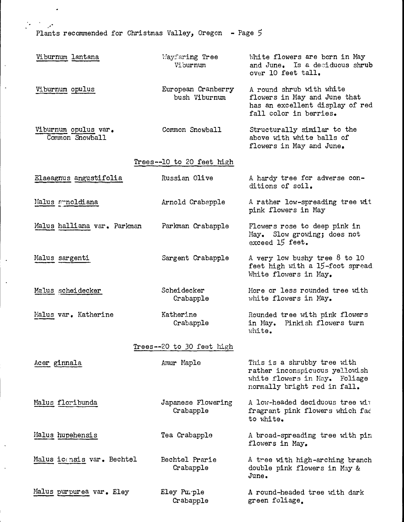Plarts recommended for Christmas Valley, Oregon - Page <sup>S</sup>

i,

| Viburnum lantana                        | Wayfaring Tree<br>Viburnum          | White flowers are born in May<br>and June. Is a deciduous shrub<br>over 10 feet tall.                                          |
|-----------------------------------------|-------------------------------------|--------------------------------------------------------------------------------------------------------------------------------|
| Viburnum opulus                         | European Cranberry<br>bush Viburnum | A round shrub with white<br>flowers in May and June that<br>has an excellent display of red<br>fall color in berries.          |
| Viburnum opulus var.<br>Common Snowball | Common Snowball                     | Structurally similar to the<br>above with white balls of<br>flowers in May and June.                                           |
|                                         | Trees--10 to 20 feet high           |                                                                                                                                |
| Elaeagnus angustifolia                  | Russian Olive                       | A hardy tree for adverse con-<br>ditions of soil.                                                                              |
| Malus arnoldiana                        | Arnold Crabapple                    | A rather low-spreading tree wit<br>pink flowers in May                                                                         |
| Malus halliana var. Parkman             | Parkman Crabapple                   | Flowers rose to deep pink in<br>May. Slow growing; does not<br>exceed 15 feet.                                                 |
| Malus sargenti                          | Sargent Crabapple                   | A very low bushy tree $8$ to 10<br>feet high with a 15-foot spread.<br>White flowers in May.                                   |
| Malus scheidecker                       | Scheidecker<br>Crabapple            | More or less rounded tree with<br>white flowers in May.                                                                        |
| Malus var. Katherine                    | Katherine<br>Crabapple              | Rounded tree with pink flowers<br>in May. Pinkish flowers turn<br>white.                                                       |
|                                         | Trees--20 to 30 feet high           |                                                                                                                                |
| Acer ginnala                            | Amur Maple                          | This is a shrubby tree with<br>rather inconspicuous yellowish<br>white flowers in May. Foliage<br>normally bright red in fall. |
| Malus floribunda                        | Japanese Flowering<br>Crabapple     | A low-headed deciduous tree wit<br>fragrant pink flowers which fac<br>to white.                                                |
| Malus hupehensis                        | Tea Crabapple                       | A broad-spreading tree with pin<br>flowers in May.                                                                             |
| Malus icensis var. Bechtel              | Bechtel Prarie<br>Crabapple         | A tree with high-arching branch<br>double pink flowers in May &<br>June.                                                       |
| Malus purpurea var. Eley                | Eley Purple<br>Crabapple            | A round-headed tree with dark<br>green foliage.                                                                                |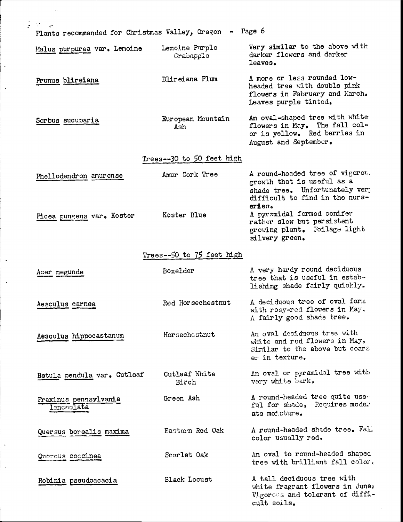| $\mathcal{R}^{\text{max}}$                               |                               |                                                                                                                                                                           |
|----------------------------------------------------------|-------------------------------|---------------------------------------------------------------------------------------------------------------------------------------------------------------------------|
| Plants recommended for Christmas Valley, Oregon - Page 6 |                               |                                                                                                                                                                           |
| Malus purpurea var. Lemoine                              | Lemcine Purple<br>Crabapple   | Very similar to the above with<br>darker flowers and darker<br>leaves.                                                                                                    |
| Prunus blireiana                                         | Blireiana Plum                | A more or less rounded low-<br>headed tree with double pink<br>flowers in February and March.<br>Leaves purple tinted.                                                    |
| Sorbus sucuparia                                         | European Mountain<br>Ash      | An oval-shaped tree with white<br>flowers in May. The fall col-<br>or is yellow. Red berries in<br>August and September.                                                  |
|                                                          | Trees--30 to 50 feet high     |                                                                                                                                                                           |
| Phellodendron amurense                                   | Amur Cork Tree<br>Koster Blue | A round-headed tree of vigorou.<br>growth that is useful as a<br>shade tree. Unfortunately very<br>difficult to find in the nurs-<br>eries.<br>A pyramidal formed conifer |
| Picea pungens var. Koster                                |                               | rather slow but persistent<br>growing plant. Foilage light<br>silvery green.                                                                                              |
|                                                          | Trees--50 to 75 feet high     |                                                                                                                                                                           |
| Acer negunde                                             | Boxelder                      | A very hardy round deciduous<br>tree that is useful in estab-<br>lishing shade fairly quickly.                                                                            |
| Aesculus carnea                                          | Red Horsechestnut             | A deciduous tree of oval form<br>with rosy-red flowers in May.<br>A fairly good shade tree.                                                                               |
| Aesculus hippocastanum                                   | Horsechestnut                 | An oval deciduous tree with<br>white and red flowers in May.<br>Similar to the above but coars<br>er in texture.                                                          |
| Betula pendula var. Cutleaf                              | Cutleaf White<br>Birch        | An oval or pyramidal tree with<br>very white bark.                                                                                                                        |
| Fraxinus pennsylvania<br><b>lanceolata</b>               | Green Ash                     | A round-headed tree quite use<br>ful for shade. Requires moder<br>ate moisture.                                                                                           |
| Quersus borealis maxima                                  | Eastern Red Oak               | A round-headed shade tree. Fall<br>color usually red.                                                                                                                     |
| Quercus coocinea                                         | Scarlet Oak                   | An oval to round-headed shaped<br>tree with brilliant fall color.                                                                                                         |
| Robinia pseudoacacia                                     | <b>Black Locust</b>           | A tall deciduous tree with<br>white fragrant flowers in June;<br>Vigorous and tolerant of diffi-<br>cult soils.                                                           |

 $\ddot{\cdot}$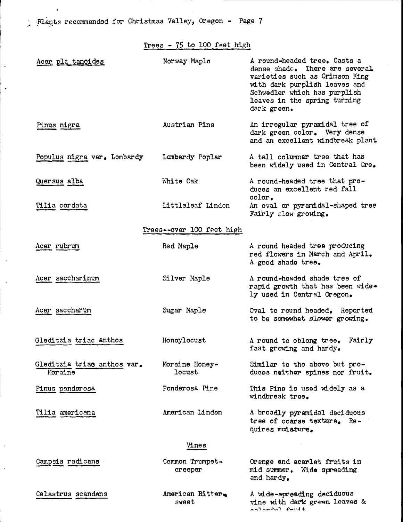Plants recommended for Christmas Valley, Oregon - Page 7

 $Trees - 75 to 100 feet high$ 

| Acer pla tanoides                      | Norway Maple               | A round-headed tree. Casts a<br>dense shade. There are several.<br>varieties such as Crimson King<br>with dark purplish leaves and<br>Schwedler which has purplish<br>leaves in the spring turning<br>dark green. |
|----------------------------------------|----------------------------|-------------------------------------------------------------------------------------------------------------------------------------------------------------------------------------------------------------------|
| Pinus nigra                            | Austrian Pine              | An irregular pyramidal tree of<br>dark green color. Very dense<br>and an excellent windbreak plant.                                                                                                               |
| Populus nigra var. Lombardy            | Lombardy Poplar            | A tall columnar tree that has<br>been widely used in Central Ore.                                                                                                                                                 |
| Quersus alba                           | White Oak                  | A round-headed tree that pro-<br>duces an excellent red fall<br>color.                                                                                                                                            |
| Tilia cordata                          | Littleleaf Lindon          | An oval or pyramidal-shaped tree<br>Fairly slow growing.                                                                                                                                                          |
|                                        | Trees--over 100 feet high  |                                                                                                                                                                                                                   |
| Acer rubrum                            | Red Maple                  | A round headed tree producing<br>red flowers in March and April.<br>A good shade tree.                                                                                                                            |
| Acer saccharinum                       | Silver Maple               | A round-headed shade tree of<br>rapid growth that has been wide.<br>ly used in Central Oregon.                                                                                                                    |
| Acer saccharum                         | Sugar Maple                | Oval to round headed. Reported<br>to be somewhat slower growing.                                                                                                                                                  |
| Gleditzia triac anthos                 | Honeylocust                | A round to oblong tree. Fairly<br>fast growing and hardy.                                                                                                                                                         |
| Gleditzia triac anthos var.<br>Moraine | Moraine Honey-<br>locust   | Similar to the above but pro-<br>duces neither spines nor fruit.                                                                                                                                                  |
| Pinus ponderosa                        | Ponderosa Pire             | This Pine is used widely as a<br>windbreak tree.                                                                                                                                                                  |
| Tilia americana                        | American Linden            | A broadly pyramidal deciduous<br>tree of coarse texture. Re-<br>quires modature.                                                                                                                                  |
|                                        | Vines                      |                                                                                                                                                                                                                   |
| Campsis radicans.                      | Common Trumpet-<br>creeper | Orange and acarlet fruits in<br>mid summer. Wide spreading<br>and hardy.                                                                                                                                          |
| Celastrus scandens                     | American Ritter<br>sweet   | A wide-spreading deciduous<br>vine with dark green leaves &                                                                                                                                                       |

 $f_{11}$ ,  $f_{22}$ ,  $f_{33}$  +